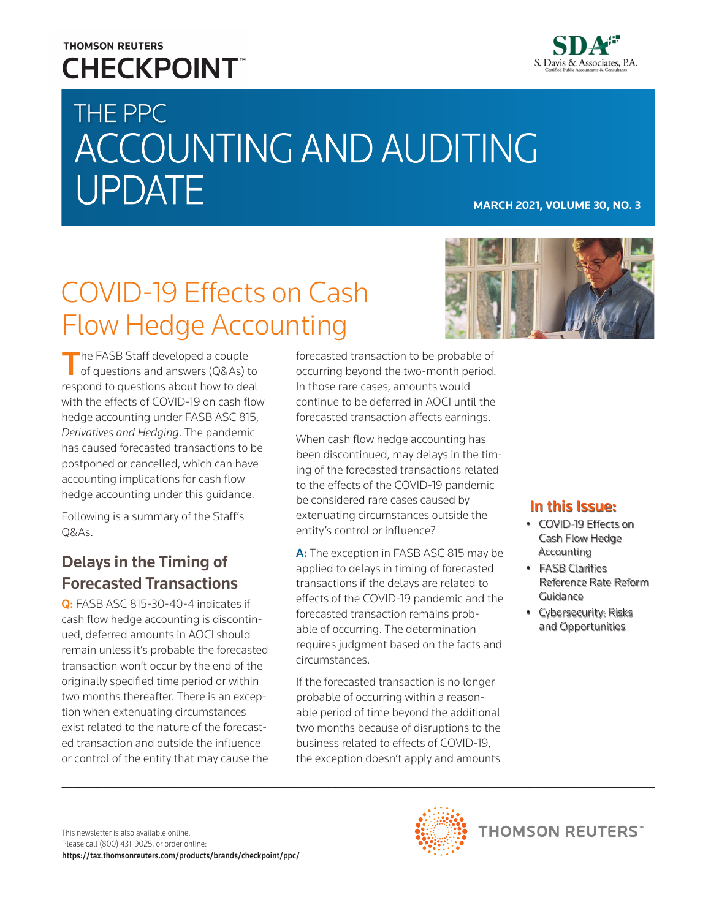### **THOMSON REUTERS CHECKPOINT**



# THE PPC ACCOUNTING AND AUDITING UPDATE **MARCH 2021, VOLUME 30, NO. 3**

# COVID-19 Effects on Cash Flow Hedge Accounting



The FASB Staff developed a couple<br>of questions and answers (Q&As) to respond to questions about how to deal with the effects of COVID-19 on cash flow hedge accounting under FASB ASC 815, *Derivatives and Hedging*. The pandemic has caused forecasted transactions to be postponed or cancelled, which can have accounting implications for cash flow hedge accounting under this guidance.

Following is a summary of the Staff's Q&As.

### Delays in the Timing of Forecasted Transactions

Q: FASB ASC 815-30-40-4 indicates if cash flow hedge accounting is discontinued, deferred amounts in AOCI should remain unless it's probable the forecasted transaction won't occur by the end of the originally specified time period or within two months thereafter. There is an exception when extenuating circumstances exist related to the nature of the forecasted transaction and outside the influence or control of the entity that may cause the forecasted transaction to be probable of occurring beyond the two-month period. In those rare cases, amounts would continue to be deferred in AOCI until the forecasted transaction affects earnings.

When cash flow hedge accounting has been discontinued, may delays in the timing of the forecasted transactions related to the effects of the COVID-19 pandemic be considered rare cases caused by extenuating circumstances outside the entity's control or influence?

A: The exception in FASB ASC 815 may be applied to delays in timing of forecasted transactions if the delays are related to effects of the COVID-19 pandemic and the forecasted transaction remains probable of occurring. The determination requires judgment based on the facts and circumstances.

If the forecasted transaction is no longer probable of occurring within a reasonable period of time beyond the additional two months because of disruptions to the business related to effects of COVID-19, the exception doesn't apply and amounts

### In this Issue:

- COVID-19 Effects on Cash Flow Hedge Accounting
- FASB Clarifies Reference Rate Reform Guidance
- Cybersecurity: Risks and Opportunities

**THOMSON REUTERS**<sup>\*\*</sup>

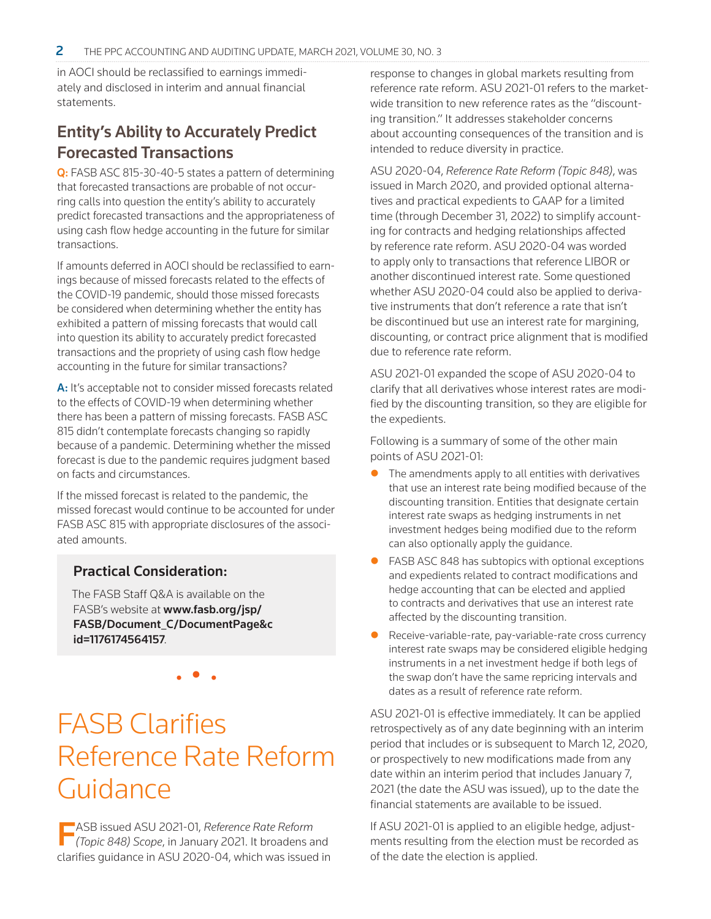in AOCI should be reclassified to earnings immediately and disclosed in interim and annual financial statements.

### Entity's Ability to Accurately Predict Forecasted Transactions

Q: FASB ASC 815-30-40-5 states a pattern of determining that forecasted transactions are probable of not occurring calls into question the entity's ability to accurately predict forecasted transactions and the appropriateness of using cash flow hedge accounting in the future for similar transactions.

If amounts deferred in AOCI should be reclassified to earnings because of missed forecasts related to the effects of the COVID-19 pandemic, should those missed forecasts be considered when determining whether the entity has exhibited a pattern of missing forecasts that would call into question its ability to accurately predict forecasted transactions and the propriety of using cash flow hedge accounting in the future for similar transactions?

A: It's acceptable not to consider missed forecasts related to the effects of COVID-19 when determining whether there has been a pattern of missing forecasts. FASB ASC 815 didn't contemplate forecasts changing so rapidly because of a pandemic. Determining whether the missed forecast is due to the pandemic requires judgment based on facts and circumstances.

If the missed forecast is related to the pandemic, the missed forecast would continue to be accounted for under FASB ASC 815 with appropriate disclosures of the associated amounts.

#### Practical Consideration:

The FASB Staff Q&A is available on the FASB's website at [www.fasb.org/jsp/](http://www.fasb.org/jsp/FASB/Document_C/DocumentPage&cid=1176174564157) [FASB/Document\\_C/DocumentPage&c](http://www.fasb.org/jsp/FASB/Document_C/DocumentPage&cid=1176174564157) [id=1176174564157](http://www.fasb.org/jsp/FASB/Document_C/DocumentPage&cid=1176174564157).

• • •

# FASB Clarifies Reference Rate Reform Guidance

FASB issued ASU 2021-01, *Reference Rate Reform (Topic 848) Scope*, in January 2021. It broadens and clarifies guidance in ASU 2020-04, which was issued in response to changes in global markets resulting from reference rate reform. ASU 2021-01 refers to the marketwide transition to new reference rates as the "discounting transition." It addresses stakeholder concerns about accounting consequences of the transition and is intended to reduce diversity in practice.

ASU 2020-04, *Reference Rate Reform (Topic 848)*, was issued in March 2020, and provided optional alternatives and practical expedients to GAAP for a limited time (through December 31, 2022) to simplify accounting for contracts and hedging relationships affected by reference rate reform. ASU 2020-04 was worded to apply only to transactions that reference LIBOR or another discontinued interest rate. Some questioned whether ASU 2020-04 could also be applied to derivative instruments that don't reference a rate that isn't be discontinued but use an interest rate for margining, discounting, or contract price alignment that is modified due to reference rate reform.

ASU 2021-01 expanded the scope of ASU 2020-04 to clarify that all derivatives whose interest rates are modified by the discounting transition, so they are eligible for the expedients.

Following is a summary of some of the other main points of ASU 2021-01:

- The amendments apply to all entities with derivatives that use an interest rate being modified because of the discounting transition. Entities that designate certain interest rate swaps as hedging instruments in net investment hedges being modified due to the reform can also optionally apply the guidance.
- FASB ASC 848 has subtopics with optional exceptions and expedients related to contract modifications and hedge accounting that can be elected and applied to contracts and derivatives that use an interest rate affected by the discounting transition.
- Receive-variable-rate, pay-variable-rate cross currency interest rate swaps may be considered eligible hedging instruments in a net investment hedge if both legs of the swap don't have the same repricing intervals and dates as a result of reference rate reform.

ASU 2021-01 is effective immediately. It can be applied retrospectively as of any date beginning with an interim period that includes or is subsequent to March 12, 2020, or prospectively to new modifications made from any date within an interim period that includes January 7, 2021 (the date the ASU was issued), up to the date the financial statements are available to be issued.

If ASU 2021-01 is applied to an eligible hedge, adjustments resulting from the election must be recorded as of the date the election is applied.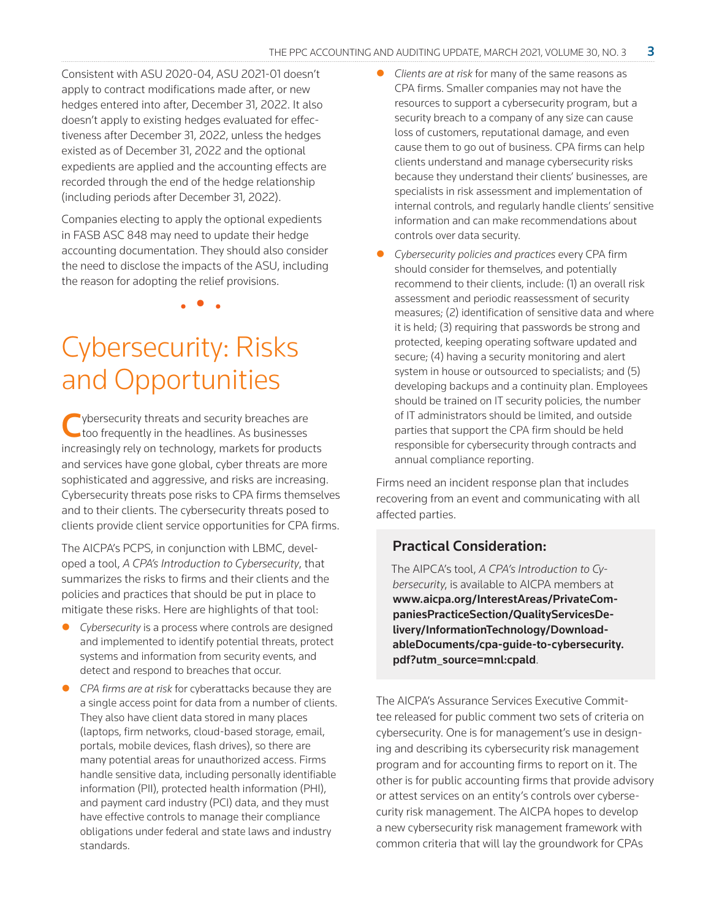Consistent with ASU 2020-04, ASU 2021-01 doesn't apply to contract modifications made after, or new hedges entered into after, December 31, 2022. It also doesn't apply to existing hedges evaluated for effectiveness after December 31, 2022, unless the hedges existed as of December 31, 2022 and the optional expedients are applied and the accounting effects are recorded through the end of the hedge relationship (including periods after December 31, 2022).

Companies electing to apply the optional expedients in FASB ASC 848 may need to update their hedge accounting documentation. They should also consider the need to disclose the impacts of the ASU, including the reason for adopting the relief provisions.

• • •

## Cybersecurity: Risks and Opportunities

Cybersecurity threats and security breaches are too frequently in the headlines. As businesses increasingly rely on technology, markets for products and services have gone global, cyber threats are more sophisticated and aggressive, and risks are increasing. Cybersecurity threats pose risks to CPA firms themselves and to their clients. The cybersecurity threats posed to clients provide client service opportunities for CPA firms.

The AICPA's PCPS, in conjunction with LBMC, developed a tool, *A CPA's Introduction to Cybersecurity*, that summarizes the risks to firms and their clients and the policies and practices that should be put in place to mitigate these risks. Here are highlights of that tool:

- *Cybersecurity* is a process where controls are designed and implemented to identify potential threats, protect systems and information from security events, and detect and respond to breaches that occur.
- z *CPA firms are at risk* for cyberattacks because they are a single access point for data from a number of clients. They also have client data stored in many places (laptops, firm networks, cloud-based storage, email, portals, mobile devices, flash drives), so there are many potential areas for unauthorized access. Firms handle sensitive data, including personally identifiable information (PII), protected health information (PHI), and payment card industry (PCI) data, and they must have effective controls to manage their compliance obligations under federal and state laws and industry standards.
- *Clients are at risk for many of the same reasons as* CPA firms. Smaller companies may not have the resources to support a cybersecurity program, but a security breach to a company of any size can cause loss of customers, reputational damage, and even cause them to go out of business. CPA firms can help clients understand and manage cybersecurity risks because they understand their clients' businesses, are specialists in risk assessment and implementation of internal controls, and regularly handle clients' sensitive information and can make recommendations about controls over data security.
- **•** Cybersecurity policies and practices every CPA firm should consider for themselves, and potentially recommend to their clients, include: (1) an overall risk assessment and periodic reassessment of security measures; (2) identification of sensitive data and where it is held; (3) requiring that passwords be strong and protected, keeping operating software updated and secure; (4) having a security monitoring and alert system in house or outsourced to specialists; and (5) developing backups and a continuity plan. Employees should be trained on IT security policies, the number of IT administrators should be limited, and outside parties that support the CPA firm should be held responsible for cybersecurity through contracts and annual compliance reporting.

Firms need an incident response plan that includes recovering from an event and communicating with all affected parties.

#### Practical Consideration:

The AIPCA's tool, *A CPA's Introduction to Cybersecurity*, is available to AICPA members at www.aicpa.org/InterestAreas/PrivateCompaniesPracticeSection/QualityServicesDelivery/InformationTechnology/DownloadableDocuments/cpa-guide-to-cybersecurity. pdf?utm\_source=mnl:cpald.

The AICPA's Assurance Services Executive Committee released for public comment two sets of criteria on cybersecurity. One is for management's use in designing and describing its cybersecurity risk management program and for accounting firms to report on it. The other is for public accounting firms that provide advisory or attest services on an entity's controls over cybersecurity risk management. The AICPA hopes to develop a new cybersecurity risk management framework with common criteria that will lay the groundwork for CPAs